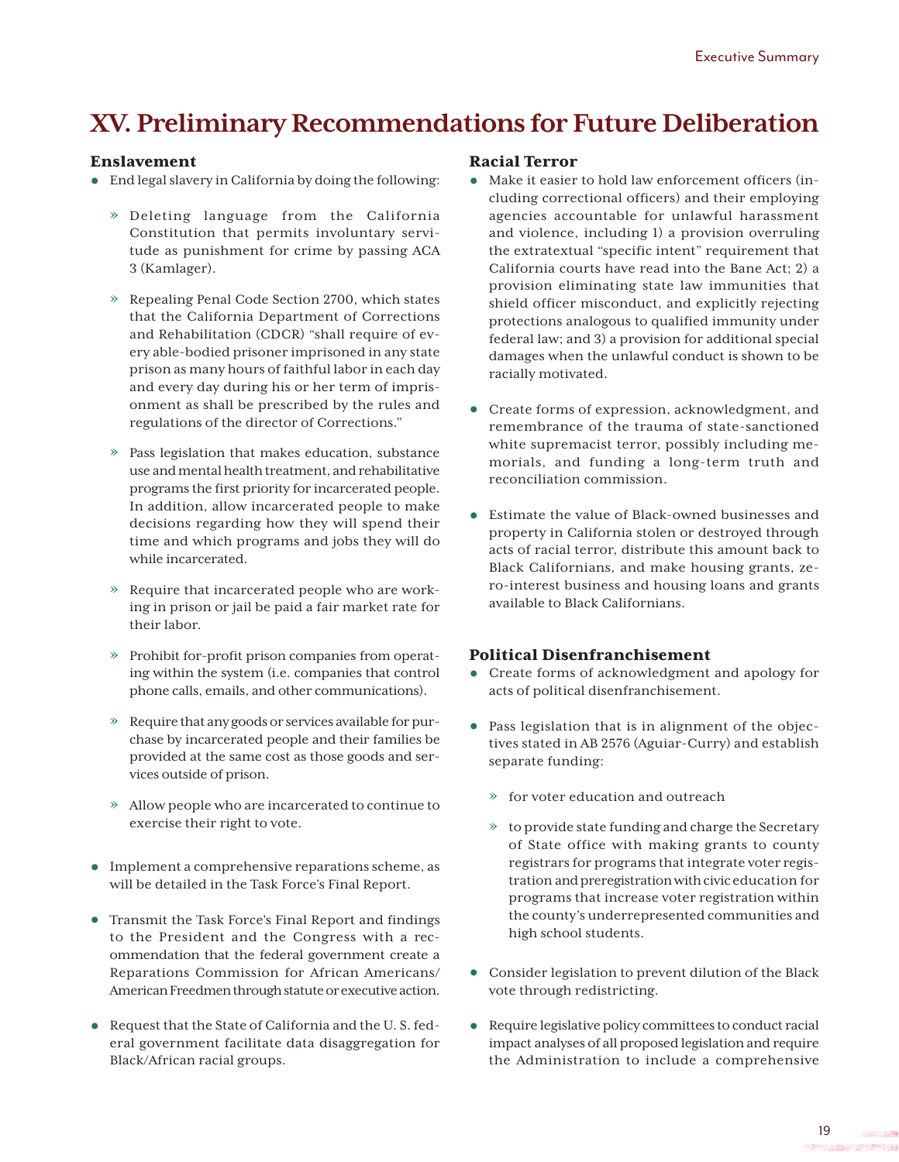# **XV . Preliminary Recommendations for Future Deliberation**

## Enslavement

- **•** End legal slavery in California by doing the following:
	- » Deleting language from the California Constitution that permits involuntary servitude as punishment for crime by passing ACA 3 (Kamlager).
	- » Repealing Penal Code Section 2700, which states that the California Department of Corrections and Rehabilitation (CDCR) "shall require of every able-bodied prisoner imprisoned in any state prison as many hours of faithful labor in each day and every day during his or her term of imprisonment as shall be prescribed by the rules and regulations of the director of Corrections."
	- » Pass legislation that makes education, substance use and mental health treatment, and rehabilitative programs the first priority for incarcerated people. In addition, allow incarcerated people to make decisions regarding how they will spend their time and which programs and jobs they will do while incarcerated.
	- » Require that incarcerated people who are working in prison or jail be paid a fair market rate for their labor.
	- » Prohibit for-profit prison companies from operating within the system (i.e. companies that control phone calls, emails, and other communications).
	- » Require that any goods or services available for purchase by incarcerated people and their families be provided at the same cost as those goods and services outside of prison.
	- » Allow people who are incarcerated to continue to exercise their right to vote.
- **•** Implement a comprehensive reparations scheme, as will be detailed in the Task Force's Final Report.
- **•** Transmit the Task Force's Final Report and findings to the President and the Congress with a recommendation that the federal government create a Reparations Commission for African Americans/ American Freedmen through statute or executive action.
- **•** Request that the State of California and the U. S. federal government facilitate data disaggregation for Black/African racial groups.

#### Racial Terror

- **•** Make it easier to hold law enforcement officers (including correctional officers) and their employing agencies accountable for unlawful harassment and violence, including 1) a provision overruling the extratextual "specific intent" requirement that California courts have read into the Bane Act; 2) a provision eliminating state law immunities that shield officer misconduct, and explicitly rejecting protections analogous to qualified immunity under federal law; and 3) a provision for additional special damages when the unlawful conduct is shown to be racially motivated.
- **•** Create forms of expression, acknowledgment, and remembrance of the trauma of state-sanctioned white supremacist terror, possibly including memorials, and funding a long-term truth and reconciliation commission.
- **•** Estimate the value of Black-owned businesses and property in California stolen or destroyed through acts of racial terror, distribute this amount back to Black Californians, and make housing grants, zero-interest business and housing loans and grants available to Black Californians.

### Political Disenfranchisement

- **•** Create forms of acknowledgment and apology for acts of political disenfranchisement.
- **•** Pass legislation that is in alignment of the objectives stated in AB 2576 (Aguiar-Curry) and establish separate funding:
	- » for voter education and outreach
	- » to provide state funding and charge the Secretary of State office with making grants to county registrars for programs that integrate voter registration and preregistration with civic education for programs that increase voter registration within the county's underrepresented communities and high school students.
- **•** Consider legislation to prevent dilution of the Black vote through redistricting.
- **•** Require legislative policy committees to conduct racial impact analyses of all proposed legislation and require the Administration to include a comprehensive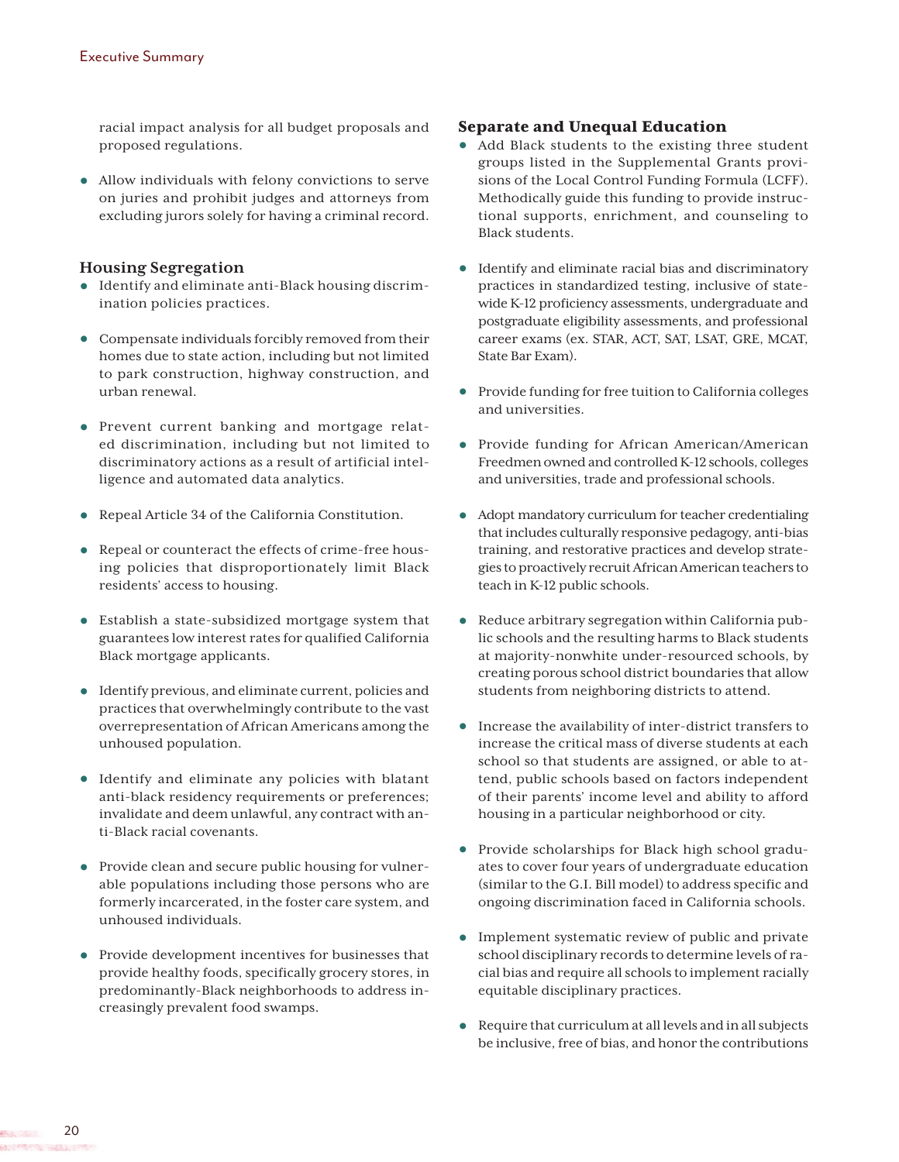racial impact analysis for all budget proposals and proposed regulations.

**•** Allow individuals with felony convictions to serve on juries and prohibit judges and attorneys from excluding jurors solely for having a criminal record.

#### **Housing Segregation**

- **•** Identify and eliminate anti-Black housing discrimination policies practices.
- **•** Compensate individuals forcibly removed from their homes due to state action, including but not limited to park construction, highway construction, and urban renewal.
- **•** Prevent current banking and mortgage related discrimination, including but not limited to discriminatory actions as a result of artificial intelligence and automated data analytics.
- **•** Repeal Article 34 of the California Constitution.
- **•** Repeal or counteract the effects of crime-free housing policies that disproportionately limit Black residents' access to housing.
- **•** Establish a state-subsidized mortgage system that guarantees low interest rates for qualified California Black mortgage applicants.
- **•** Identify previous, and eliminate current, policies and practices that overwhelmingly contribute to the vast overrepresentation of African Americans among the unhoused population.
- **•** Identify and eliminate any policies with blatant anti-black residency requirements or preferences; invalidate and deem unlawful, any contract with anti-Black racial covenants.
- Provide clean and secure public housing for vulnerable populations including those persons who are formerly incarcerated, in the foster care system, and unhoused individuals.
- **•** Provide development incentives for businesses that provide healthy foods, specifically grocery stores, in predominantly-Black neighborhoods to address increasingly prevalent food swamps.

#### Separate and Unequal Education

- **•** Add Black students to the existing three student groups listed in the Supplemental Grants provisions of the Local Control Funding Formula (LCFF). Methodically guide this funding to provide instructional supports, enrichment, and counseling to Black students.
- **•** Identify and eliminate racial bias and discriminatory practices in standardized testing, inclusive of statewide K-12 proficiency assessments, undergraduate and postgraduate eligibility assessments, and professional career exams (ex. STAR, ACT, SAT, LSAT, GRE, MCAT, State Bar Exam).
- **•** Provide funding for free tuition to California colleges and universities.
- **•** Provide funding for African American/American Freedmen owned and controlled K-12 schools, colleges and universities, trade and professional schools.
- **•** Adopt mandatory curriculum for teacher credentialing that includes culturally responsive pedagogy, anti-bias training, and restorative practices and develop strategies to proactively recruit African American teachers to teach in K-12 public schools.
- **•** Reduce arbitrary segregation within California public schools and the resulting harms to Black students at majority-nonwhite under-resourced schools, by creating porous school district boundaries that allow students from neighboring districts to attend.
- **•** Increase the availability of inter-district transfers to increase the critical mass of diverse students at each school so that students are assigned, or able to attend, public schools based on factors independent of their parents' income level and ability to afford housing in a particular neighborhood or city.
- **•** Provide scholarships for Black high school graduates to cover four years of undergraduate education (similar to the G.I. Bill model) to address specific and ongoing discrimination faced in California schools.
- **•** Implement systematic review of public and private school disciplinary records to determine levels of racial bias and require all schools to implement racially equitable disciplinary practices.
- **•** Require that curriculum at all levels and in all subjects be inclusive, free of bias, and honor the contributions

20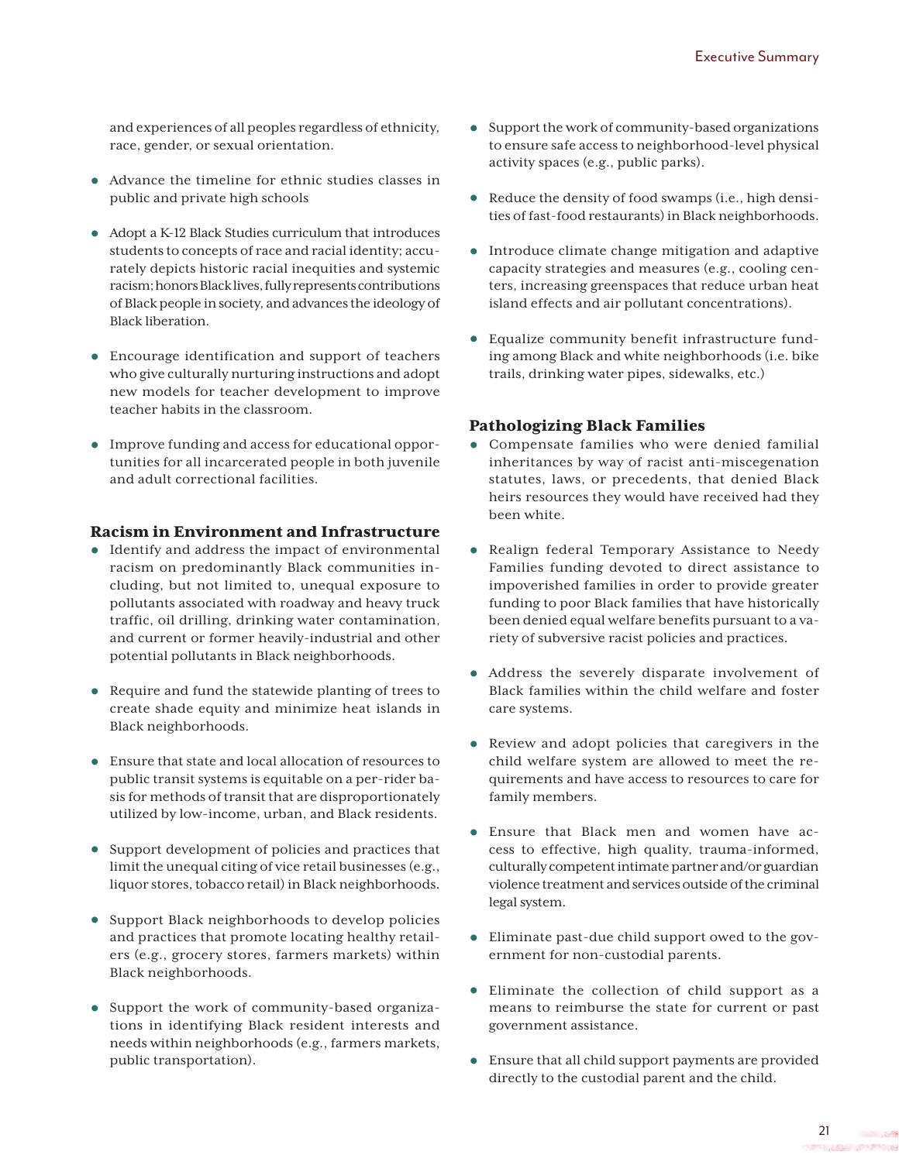and experiences of all peoples regardless of ethnicity, race, gender, or sexual orientation.

- **•** Advance the timeline for ethnic studies classes in public and private high schools
- **•** Adopt a K-12 Black Studies curriculum that introduces students to concepts of race and racial identity; accurately depicts historic racial inequities and systemic racism; honors Black lives, fully represents contributions of Black people in society, and advances the ideology of Black liberation.
- **•** Encourage identification and support of teachers who give culturally nurturing instructions and adopt new models for teacher development to improve teacher habits in the classroom.
- **•** Improve funding and access for educational opportunities for all incarcerated people in both juvenile and adult correctional facilities.

## Racism in Environment and Infrastructure

- **•** Identify and address the impact of environmental racism on predominantly Black communities including, but not limited to, unequal exposure to pollutants associated with roadway and heavy truck traffic, oil drilling, drinking water contamination, and current or former heavily-industrial and other potential pollutants in Black neighborhoods.
- **•** Require and fund the statewide planting of trees to create shade equity and minimize heat islands in Black neighborhoods.
- **•** Ensure that state and local allocation of resources to public transit systems is equitable on a per-rider basis for methods of transit that are disproportionately utilized by low-income, urban, and Black residents.
- **•** Support development of policies and practices that limit the unequal citing of vice retail businesses (e.g., liquor stores, tobacco retail) in Black neighborhoods.
- **•** Support Black neighborhoods to develop policies and practices that promote locating healthy retailers (e.g., grocery stores, farmers markets) within Black neighborhoods.
- **•** Support the work of community-based organizations in identifying Black resident interests and needs within neighborhoods (e.g., farmers markets, public transportation).
- **•** Support the work of community-based organizations to ensure safe access to neighborhood-level physical activity spaces (e.g., public parks).
- **•** Reduce the density of food swamps (i.e., high densities of fast-food restaurants) in Black neighborhoods.
- **•** Introduce climate change mitigation and adaptive capacity strategies and measures (e.g., cooling centers, increasing greenspaces that reduce urban heat island effects and air pollutant concentrations).
- **•** Equalize community benefit infrastructure funding among Black and white neighborhoods (i.e. bike trails, drinking water pipes, sidewalks, etc.)

## Pathologizing Black Families

- **•** Compensate families who were denied familial inheritances by way of racist anti-miscegenation statutes, laws, or precedents, that denied Black heirs resources they would have received had they been white.
- **•** Realign federal Temporary Assistance to Needy Families funding devoted to direct assistance to impoverished families in order to provide greater funding to poor Black families that have historically been denied equal welfare benefits pursuant to a variety of subversive racist policies and practices.
- **•** Address the severely disparate involvement of Black families within the child welfare and foster care systems.
- **•** Review and adopt policies that caregivers in the child welfare system are allowed to meet the requirements and have access to resources to care for family members.
- **•** Ensure that Black men and women have access to effective, high quality, trauma-informed, culturally competent intimate partner and/or guardian violence treatment and services outside of the criminal legal system.
- **•** Eliminate past-due child support owed to the government for non-custodial parents.
- **•** Eliminate the collection of child support as a means to reimburse the state for current or past government assistance.
- **•** Ensure that all child support payments are provided directly to the custodial parent and the child.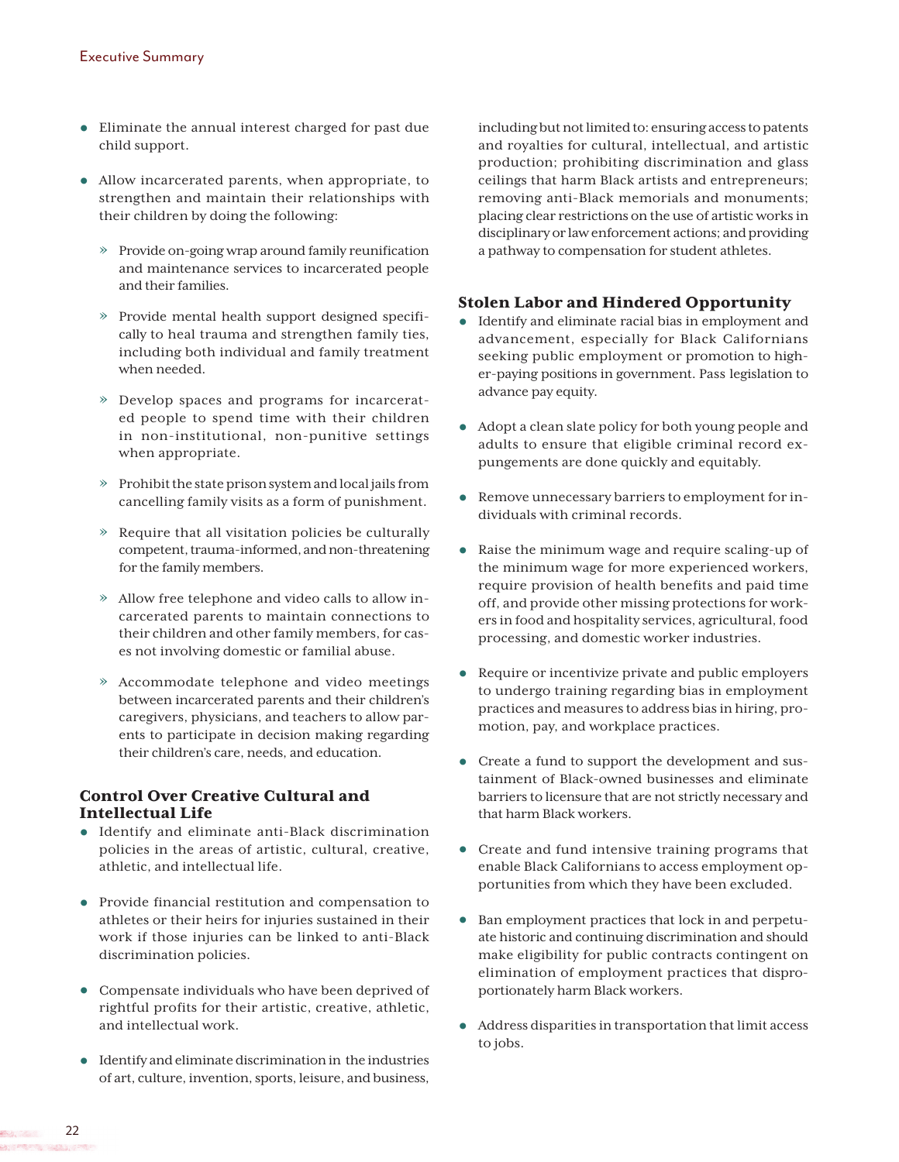- **•** Eliminate the annual interest charged for past due child support.
- **•** Allow incarcerated parents, when appropriate, to strengthen and maintain their relationships with their children by doing the following:
	- » Provide on-going wrap around family reunification and maintenance services to incarcerated people and their families.
	- » Provide mental health support designed specifically to heal trauma and strengthen family ties, including both individual and family treatment when needed.
	- » Develop spaces and programs for incarcerated people to spend time with their children in non-institutional, non-punitive settings when appropriate.
	- » Prohibit the state prison system and local jails from cancelling family visits as a form of punishment.
	- » Require that all visitation policies be culturally competent, trauma-informed, and non-threatening for the family members.
	- » Allow free telephone and video calls to allow incarcerated parents to maintain connections to their children and other family members, for cases not involving domestic or familial abuse.
	- » Accommodate telephone and video meetings between incarcerated parents and their children's caregivers, physicians, and teachers to allow parents to participate in decision making regarding their children's care, needs, and education.

# Control Over Creative Cultural and Intellectual Life

- **•** Identify and eliminate anti-Black discrimination policies in the areas of artistic, cultural, creative, athletic, and intellectual life.
- **•** Provide financial restitution and compensation to athletes or their heirs for injuries sustained in their work if those injuries can be linked to anti-Black discrimination policies.
- **•** Compensate individuals who have been deprived of rightful profits for their artistic, creative, athletic, and intellectual work.
- **•** Identify and eliminate discrimination in the industries of art, culture, invention, sports, leisure, and business,

including but not limited to: ensuring access to patents and royalties for cultural, intellectual, and artistic production; prohibiting discrimination and glass ceilings that harm Black artists and entrepreneurs; removing anti-Black memorials and monuments; placing clear restrictions on the use of artistic works in disciplinary or law enforcement actions; and providing a pathway to compensation for student athletes.

# Stolen Labor and Hindered Opportunity

- **•** Identify and eliminate racial bias in employment and advancement, especially for Black Californians seeking public employment or promotion to higher-paying positions in government. Pass legislation to advance pay equity.
- **•** Adopt a clean slate policy for both young people and adults to ensure that eligible criminal record expungements are done quickly and equitably.
- **•** Remove unnecessary barriers to employment for individuals with criminal records.
- **•** Raise the minimum wage and require scaling-up of the minimum wage for more experienced workers, require provision of health benefits and paid time off, and provide other missing protections for workers in food and hospitality services, agricultural, food processing, and domestic worker industries.
- **•** Require or incentivize private and public employers to undergo training regarding bias in employment practices and measures to address bias in hiring, promotion, pay, and workplace practices.
- **•** Create a fund to support the development and sustainment of Black-owned businesses and eliminate barriers to licensure that are not strictly necessary and that harm Black workers.
- **•** Create and fund intensive training programs that enable Black Californians to access employment opportunities from which they have been excluded.
- **•** Ban employment practices that lock in and perpetuate historic and continuing discrimination and should make eligibility for public contracts contingent on elimination of employment practices that disproportionately harm Black workers.
- **•** Address disparities in transportation that limit access to jobs.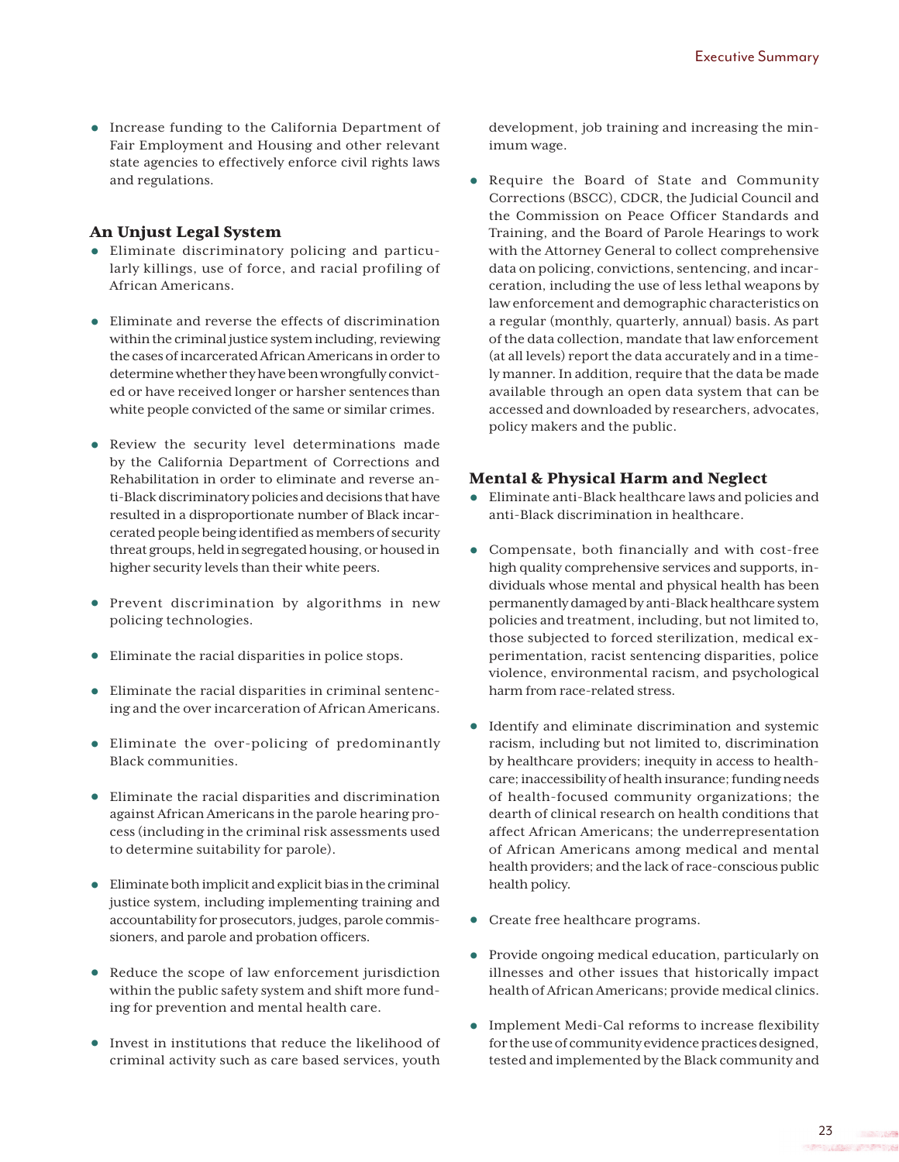**•** Increase funding to the California Department of Fair Employment and Housing and other relevant state agencies to effectively enforce civil rights laws and regulations.

## An Unjust Legal System

- **•** Eliminate discriminatory policing and particularly killings, use of force, and racial profiling of African Americans.
- **•** Eliminate and reverse the effects of discrimination within the criminal justice system including, reviewing the cases of incarcerated African Americans in order to determine whether they have been wrongfully convicted or have received longer or harsher sentences than white people convicted of the same or similar crimes.
- **•** Review the security level determinations made by the California Department of Corrections and Rehabilitation in order to eliminate and reverse anti-Black discriminatory policies and decisions that have resulted in a disproportionate number of Black incarcerated people being identified as members of security threat groups, held in segregated housing, or housed in higher security levels than their white peers.
- **•** Prevent discrimination by algorithms in new policing technologies.
- **•** Eliminate the racial disparities in police stops.
- **•** Eliminate the racial disparities in criminal sentencing and the over incarceration of African Americans.
- **•** Eliminate the over-policing of predominantly Black communities.
- **•** Eliminate the racial disparities and discrimination against African Americans in the parole hearing process (including in the criminal risk assessments used to determine suitability for parole).
- **•** Eliminate both implicit and explicit bias in the criminal justice system, including implementing training and accountability for prosecutors, judges, parole commissioners, and parole and probation officers.
- **•** Reduce the scope of law enforcement jurisdiction within the public safety system and shift more funding for prevention and mental health care.
- **•** Invest in institutions that reduce the likelihood of criminal activity such as care based services, youth

development, job training and increasing the minimum wage.

**•** Require the Board of State and Community Corrections (BSCC), CDCR, the Judicial Council and the Commission on Peace Officer Standards and Training, and the Board of Parole Hearings to work with the Attorney General to collect comprehensive data on policing, convictions, sentencing, and incarceration, including the use of less lethal weapons by law enforcement and demographic characteristics on a regular (monthly, quarterly, annual) basis. As part of the data collection, mandate that law enforcement (at all levels) report the data accurately and in a timely manner. In addition, require that the data be made available through an open data system that can be accessed and downloaded by researchers, advocates, policy makers and the public.

# Mental & Physical Harm and Neglect

- **•** Eliminate anti-Black healthcare laws and policies and anti-Black discrimination in healthcare.
- **•** Compensate, both financially and with cost-free high quality comprehensive services and supports, individuals whose mental and physical health has been permanently damaged by anti-Black healthcare system policies and treatment, including, but not limited to, those subjected to forced sterilization, medical experimentation, racist sentencing disparities, police violence, environmental racism, and psychological harm from race-related stress.
- **•** Identify and eliminate discrimination and systemic racism, including but not limited to, discrimination by healthcare providers; inequity in access to healthcare; inaccessibility of health insurance; funding needs of health-focused community organizations; the dearth of clinical research on health conditions that affect African Americans; the underrepresentation of African Americans among medical and mental health providers; and the lack of race-conscious public health policy.
- **•** Create free healthcare programs.
- **•** Provide ongoing medical education, particularly on illnesses and other issues that historically impact health of African Americans; provide medical clinics.
- **•** Implement Medi-Cal reforms to increase flexibility for the use of community evidence practices designed, tested and implemented by the Black community and